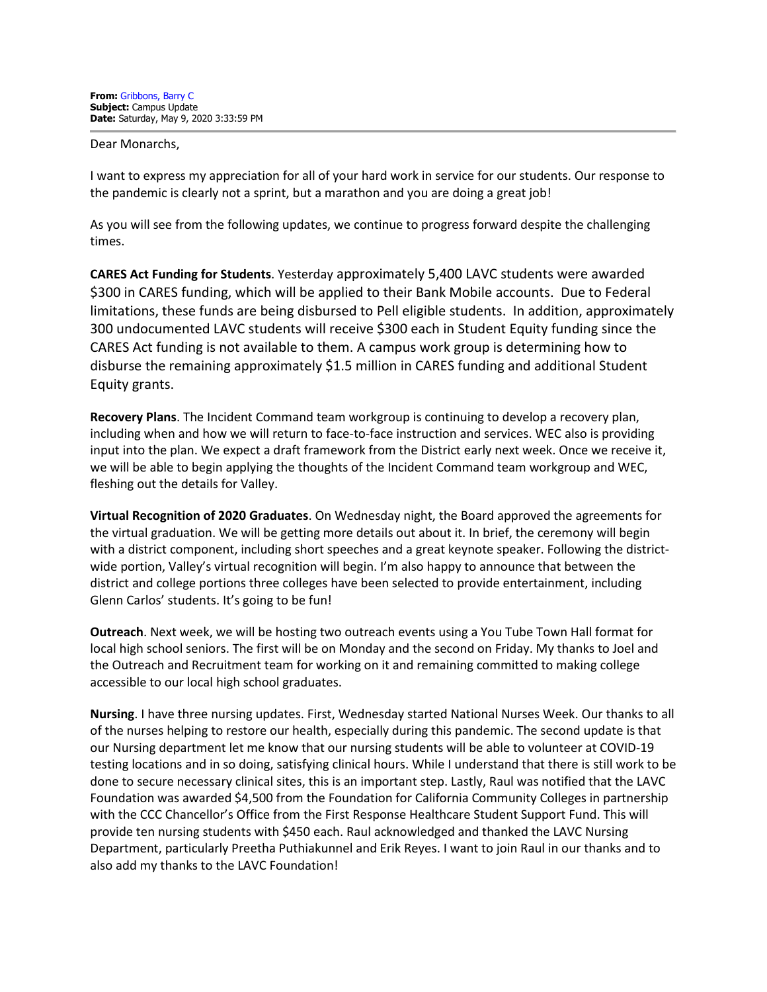Dear Monarchs,

I want to express my appreciation for all of your hard work in service for our students. Our response to the pandemic is clearly not a sprint, but a marathon and you are doing a great job!

As you will see from the following updates, we continue to progress forward despite the challenging times.

**CARES Act Funding for Students**. Yesterday approximately 5,400 LAVC students were awarded \$300 in CARES funding, which will be applied to their Bank Mobile accounts. Due to Federal limitations, these funds are being disbursed to Pell eligible students. In addition, approximately 300 undocumented LAVC students will receive \$300 each in Student Equity funding since the CARES Act funding is not available to them. A campus work group is determining how to disburse the remaining approximately \$1.5 million in CARES funding and additional Student Equity grants.

**Recovery Plans**. The Incident Command team workgroup is continuing to develop a recovery plan, including when and how we will return to face-to-face instruction and services. WEC also is providing input into the plan. We expect a draft framework from the District early next week. Once we receive it, we will be able to begin applying the thoughts of the Incident Command team workgroup and WEC, fleshing out the details for Valley.

**Virtual Recognition of 2020 Graduates**. On Wednesday night, the Board approved the agreements for the virtual graduation. We will be getting more details out about it. In brief, the ceremony will begin with a district component, including short speeches and a great keynote speaker. Following the districtwide portion, Valley's virtual recognition will begin. I'm also happy to announce that between the district and college portions three colleges have been selected to provide entertainment, including Glenn Carlos' students. It's going to be fun!

**Outreach**. Next week, we will be hosting two outreach events using a You Tube Town Hall format for local high school seniors. The first will be on Monday and the second on Friday. My thanks to Joel and the Outreach and Recruitment team for working on it and remaining committed to making college accessible to our local high school graduates.

**Nursing**. I have three nursing updates. First, Wednesday started National Nurses Week. Our thanks to all of the nurses helping to restore our health, especially during this pandemic. The second update is that our Nursing department let me know that our nursing students will be able to volunteer at COVID-19 testing locations and in so doing, satisfying clinical hours. While I understand that there is still work to be done to secure necessary clinical sites, this is an important step. Lastly, Raul was notified that the LAVC Foundation was awarded \$4,500 from the Foundation for California Community Colleges in partnership with the CCC Chancellor's Office from the First Response Healthcare Student Support Fund. This will provide ten nursing students with \$450 each. Raul acknowledged and thanked the LAVC Nursing Department, particularly Preetha Puthiakunnel and Erik Reyes. I want to join Raul in our thanks and to also add my thanks to the LAVC Foundation!